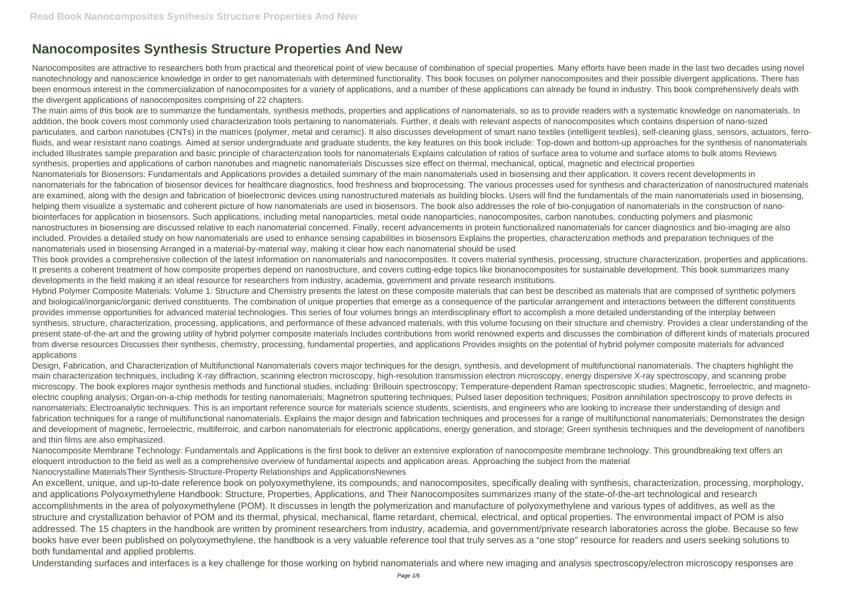## **Nanocomposites Synthesis Structure Properties And New**

Nanocomposites are attractive to researchers both from practical and theoretical point of view because of combination of special properties. Many efforts have been made in the last two decades using novel nanotechnology and nanoscience knowledge in order to get nanomaterials with determined functionality. This book focuses on polymer nanocomposites and their possible divergent applications. There has been enormous interest in the commercialization of nanocomposites for a variety of applications, and a number of these applications can already be found in industry. This book comprehensively deals with the divergent applications of nanocomposites comprising of 22 chapters.

The main aims of this book are to summarize the fundamentals, synthesis methods, properties and applications of nanomaterials, so as to provide readers with a systematic knowledge on nanomaterials. In addition, the book covers most commonly used characterization tools pertaining to nanomaterials. Further, it deals with relevant aspects of nanocomposites which contains dispersion of nano-sized particulates, and carbon nanotubes (CNTs) in the matrices (polymer, metal and ceramic). It also discusses development of smart nano textiles (intelligent textiles), self-cleaning glass, sensors, actuators, ferrofluids, and wear resistant nano coatings. Aimed at senior undergraduate and graduate students, the key features on this book include: Top-down and bottom-up approaches for the synthesis of nanomaterials included Illustrates sample preparation and basic principle of characterization tools for nanomaterials Explains calculation of ratios of surface area to volume and surface atoms to bulk atoms Reviews synthesis, properties and applications of carbon nanotubes and magnetic nanomaterials Discusses size effect on thermal, mechanical, optical, magnetic and electrical properties Nanomaterials for Biosensors: Fundamentals and Applications provides a detailed summary of the main nanomaterials used in biosensing and their application. It covers recent developments in nanomaterials for the fabrication of biosensor devices for healthcare diagnostics, food freshness and bioprocessing. The various processes used for synthesis and characterization of nanostructured materials are examined, along with the design and fabrication of bioelectronic devices using nanostructured materials as building blocks. Users will find the fundamentals of the main nanomaterials used in biosensing, helping them visualize a systematic and coherent picture of how nanomaterials are used in biosensors. The book also addresses the role of bio-conjugation of nanomaterials in the construction of nanobiointerfaces for application in biosensors. Such applications, including metal nanoparticles, metal oxide nanoparticles, nanocomposites, carbon nanotubes, conducting polymers and plasmonic nanostructures in biosensing are discussed relative to each nanomaterial concerned. Finally, recent advancements in protein functionalized nanomaterials for cancer diagnostics and bio-imaging are also included. Provides a detailed study on how nanomaterials are used to enhance sensing capabilities in biosensors Explains the properties, characterization methods and preparation techniques of the nanomaterials used in biosensing Arranged in a material-by-material way, making it clear how each nanomaterial should be used

Hybrid Polymer Composite Materials: Volume 1: Structure and Chemistry presents the latest on these composite materials that can best be described as materials that are comprised of synthetic polymers and biological/inorganic/organic derived constituents. The combination of unique properties that emerge as a consequence of the particular arrangement and interactions between the different constituents provides immense opportunities for advanced material technologies. This series of four volumes brings an interdisciplinary effort to accomplish a more detailed understanding of the interplay between synthesis, structure, characterization, processing, applications, and performance of these advanced materials, with this volume focusing on their structure and chemistry. Provides a clear understanding of the present state-of-the-art and the growing utility of hybrid polymer composite materials Includes contributions from world renowned experts and discusses the combination of different kinds of materials procured from diverse resources Discusses their synthesis, chemistry, processing, fundamental properties, and applications Provides insights on the potential of hybrid polymer composite materials for advanced applications

This book provides a comprehensive collection of the latest information on nanomaterials and nanocomposites. It covers material synthesis, processing, structure characterization, properties and applications. It presents a coherent treatment of how composite properties depend on nanostructure, and covers cutting-edge topics like bionanocomposites for sustainable development. This book summarizes many developments in the field making it an ideal resource for researchers from industry, academia, government and private research institutions.

Design, Fabrication, and Characterization of Multifunctional Nanomaterials covers major techniques for the design, synthesis, and development of multifunctional nanomaterials. The chapters highlight the main characterization techniques, including X-ray diffraction, scanning electron microscopy, high-resolution transmission electron microscopy, energy dispersive X-ray spectroscopy, and scanning probe microscopy. The book explores major synthesis methods and functional studies, including: Brillouin spectroscopy; Temperature-dependent Raman spectroscopic studies; Magnetic, ferroelectric, and magnetoelectric coupling analysis; Organ-on-a-chip methods for testing nanomaterials; Magnetron sputtering techniques; Pulsed laser deposition techniques; Positron annihilation spectroscopy to prove defects in nanomaterials; Electroanalytic techniques. This is an important reference source for materials science students, scientists, and engineers who are looking to increase their understanding of design and fabrication techniques for a range of multifunctional nanomaterials. Explains the major design and fabrication techniques and processes for a range of multifunctional nanomaterials; Demonstrates the design and development of magnetic, ferroelectric, multiferroic, and carbon nanomaterials for electronic applications, energy generation, and storage; Green synthesis techniques and the development of nanofibers and thin films are also emphasized.

Nanocomposite Membrane Technology: Fundamentals and Applications is the first book to deliver an extensive exploration of nanocomposite membrane technology. This groundbreaking text offers an eloquent introduction to the field as well as a comprehensive overview of fundamental aspects and application areas. Approaching the subject from the material Nanocrystalline MaterialsTheir Synthesis-Structure-Property Relationships and ApplicationsNewnes

An excellent, unique, and up-to-date reference book on polyoxymethylene, its compounds, and nanocomposites, specifically dealing with synthesis, characterization, processing, morphology, and applications Polyoxymethylene Handbook: Structure, Properties, Applications, and Their Nanocomposites summarizes many of the state-of-the-art technological and research accomplishments in the area of polyoxymethylene (POM). It discusses in length the polymerization and manufacture of polyoxymethylene and various types of additives, as well as the structure and crystallization behavior of POM and its thermal, physical, mechanical, flame retardant, chemical, electrical, and optical properties. The environmental impact of POM is also addressed. The 15 chapters in the handbook are written by prominent researchers from industry, academia, and government/private research laboratories across the globe. Because so few books have ever been published on polyoxymethylene, the handbook is a very valuable reference tool that truly serves as a "one stop" resource for readers and users seeking solutions to both fundamental and applied problems.

Understanding surfaces and interfaces is a key challenge for those working on hybrid nanomaterials and where new imaging and analysis spectroscopy/electron microscopy responses are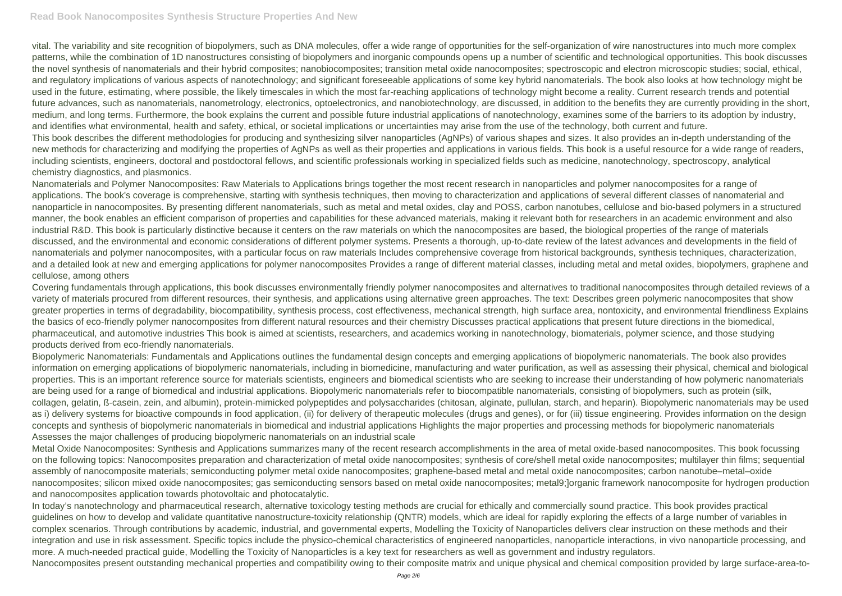vital. The variability and site recognition of biopolymers, such as DNA molecules, offer a wide range of opportunities for the self-organization of wire nanostructures into much more complex patterns, while the combination of 1D nanostructures consisting of biopolymers and inorganic compounds opens up a number of scientific and technological opportunities. This book discusses the novel synthesis of nanomaterials and their hybrid composites; nanobiocomposites; transition metal oxide nanocomposites; spectroscopic and electron microscopic studies; social, ethical, and regulatory implications of various aspects of nanotechnology; and significant foreseeable applications of some key hybrid nanomaterials. The book also looks at how technology might be used in the future, estimating, where possible, the likely timescales in which the most far-reaching applications of technology might become a reality. Current research trends and potential future advances, such as nanomaterials, nanometrology, electronics, optoelectronics, and nanobiotechnology, are discussed, in addition to the benefits they are currently providing in the short, medium, and long terms. Furthermore, the book explains the current and possible future industrial applications of nanotechnology, examines some of the barriers to its adoption by industry, and identifies what environmental, health and safety, ethical, or societal implications or uncertainties may arise from the use of the technology, both current and future. This book describes the different methodologies for producing and synthesizing silver nanoparticles (AgNPs) of various shapes and sizes. It also provides an in-depth understanding of the new methods for characterizing and modifying the properties of AgNPs as well as their properties and applications in various fields. This book is a useful resource for a wide range of readers, including scientists, engineers, doctoral and postdoctoral fellows, and scientific professionals working in specialized fields such as medicine, nanotechnology, spectroscopy, analytical chemistry diagnostics, and plasmonics.

Nanomaterials and Polymer Nanocomposites: Raw Materials to Applications brings together the most recent research in nanoparticles and polymer nanocomposites for a range of applications. The book's coverage is comprehensive, starting with synthesis techniques, then moving to characterization and applications of several different classes of nanomaterial and nanoparticle in nanocomposites. By presenting different nanomaterials, such as metal and metal oxides, clay and POSS, carbon nanotubes, cellulose and bio-based polymers in a structured manner, the book enables an efficient comparison of properties and capabilities for these advanced materials, making it relevant both for researchers in an academic environment and also industrial R&D. This book is particularly distinctive because it centers on the raw materials on which the nanocomposites are based, the biological properties of the range of materials discussed, and the environmental and economic considerations of different polymer systems. Presents a thorough, up-to-date review of the latest advances and developments in the field of nanomaterials and polymer nanocomposites, with a particular focus on raw materials Includes comprehensive coverage from historical backgrounds, synthesis techniques, characterization, and a detailed look at new and emerging applications for polymer nanocomposites Provides a range of different material classes, including metal and metal oxides, biopolymers, graphene and cellulose, among others

Covering fundamentals through applications, this book discusses environmentally friendly polymer nanocomposites and alternatives to traditional nanocomposites through detailed reviews of a variety of materials procured from different resources, their synthesis, and applications using alternative green approaches. The text: Describes green polymeric nanocomposites that show greater properties in terms of degradability, biocompatibility, synthesis process, cost effectiveness, mechanical strength, high surface area, nontoxicity, and environmental friendliness Explains the basics of eco-friendly polymer nanocomposites from different natural resources and their chemistry Discusses practical applications that present future directions in the biomedical, pharmaceutical, and automotive industries This book is aimed at scientists, researchers, and academics working in nanotechnology, biomaterials, polymer science, and those studying products derived from eco-friendly nanomaterials.

Biopolymeric Nanomaterials: Fundamentals and Applications outlines the fundamental design concepts and emerging applications of biopolymeric nanomaterials. The book also provides information on emerging applications of biopolymeric nanomaterials, including in biomedicine, manufacturing and water purification, as well as assessing their physical, chemical and biological properties. This is an important reference source for materials scientists, engineers and biomedical scientists who are seeking to increase their understanding of how polymeric nanomaterials are being used for a range of biomedical and industrial applications. Biopolymeric nanomaterials refer to biocompatible nanomaterials, consisting of biopolymers, such as protein (silk, collagen, gelatin, ß-casein, zein, and albumin), protein-mimicked polypeptides and polysaccharides (chitosan, alginate, pullulan, starch, and heparin). Biopolymeric nanomaterials may be used as i) delivery systems for bioactive compounds in food application, (ii) for delivery of therapeutic molecules (drugs and genes), or for (iii) tissue engineering. Provides information on the design concepts and synthesis of biopolymeric nanomaterials in biomedical and industrial applications Highlights the major properties and processing methods for biopolymeric nanomaterials Assesses the major challenges of producing biopolymeric nanomaterials on an industrial scale

Metal Oxide Nanocomposites: Synthesis and Applications summarizes many of the recent research accomplishments in the area of metal oxide-based nanocomposites. This book focussing on the following topics: Nanocomposites preparation and characterization of metal oxide nanocomposites; synthesis of core/shell metal oxide nanocomposites; multilayer thin films; sequential assembly of nanocomposite materials; semiconducting polymer metal oxide nanocomposites; graphene-based metal and metal oxide nanocomposites; carbon nanotube–metal–oxide nanocomposites; silicon mixed oxide nanocomposites; gas semiconducting sensors based on metal oxide nanocomposites; metal9;]organic framework nanocomposite for hydrogen production and nanocomposites application towards photovoltaic and photocatalytic.

In today's nanotechnology and pharmaceutical research, alternative toxicology testing methods are crucial for ethically and commercially sound practice. This book provides practical quidelines on how to develop and validate quantitative nanostructure-toxicity relationship (QNTR) models, which are ideal for rapidly exploring the effects of a large number of variables in complex scenarios. Through contributions by academic, industrial, and governmental experts, Modelling the Toxicity of Nanoparticles delivers clear instruction on these methods and their integration and use in risk assessment. Specific topics include the physico-chemical characteristics of engineered nanoparticles, nanoparticle interactions, in vivo nanoparticle processing, and more. A much-needed practical guide, Modelling the Toxicity of Nanoparticles is a key text for researchers as well as government and industry regulators. Nanocomposites present outstanding mechanical properties and compatibility owing to their composite matrix and unique physical and chemical composition provided by large surface-area-to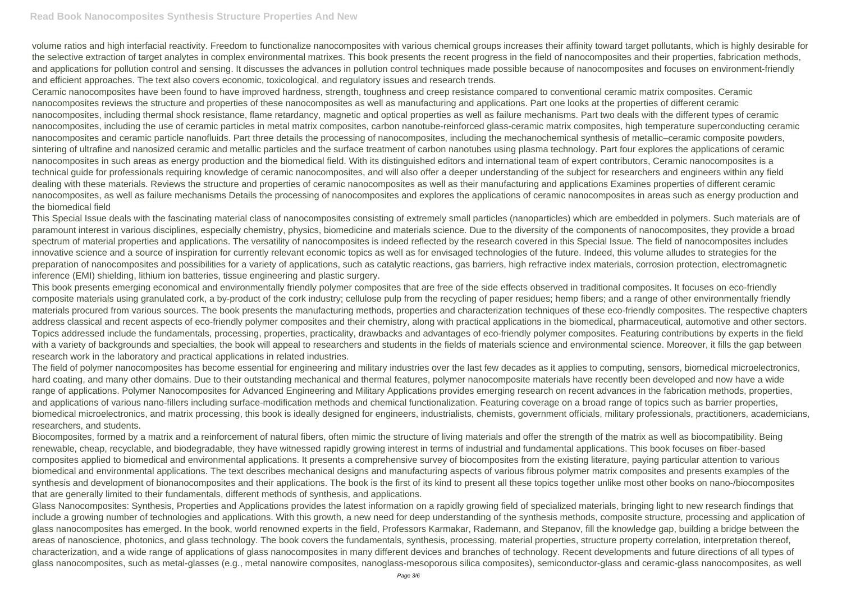volume ratios and high interfacial reactivity. Freedom to functionalize nanocomposites with various chemical groups increases their affinity toward target pollutants, which is highly desirable for the selective extraction of target analytes in complex environmental matrixes. This book presents the recent progress in the field of nanocomposites and their properties, fabrication methods, and applications for pollution control and sensing. It discusses the advances in pollution control techniques made possible because of nanocomposites and focuses on environment-friendly and efficient approaches. The text also covers economic, toxicological, and regulatory issues and research trends.

Ceramic nanocomposites have been found to have improved hardness, strength, toughness and creep resistance compared to conventional ceramic matrix composites. Ceramic nanocomposites reviews the structure and properties of these nanocomposites as well as manufacturing and applications. Part one looks at the properties of different ceramic nanocomposites, including thermal shock resistance, flame retardancy, magnetic and optical properties as well as failure mechanisms. Part two deals with the different types of ceramic nanocomposites, including the use of ceramic particles in metal matrix composites, carbon nanotube-reinforced glass-ceramic matrix composites, high temperature superconducting ceramic nanocomposites and ceramic particle nanofluids. Part three details the processing of nanocomposites, including the mechanochemical synthesis of metallic–ceramic composite powders, sintering of ultrafine and nanosized ceramic and metallic particles and the surface treatment of carbon nanotubes using plasma technology. Part four explores the applications of ceramic nanocomposites in such areas as energy production and the biomedical field. With its distinguished editors and international team of expert contributors, Ceramic nanocomposites is a technical guide for professionals requiring knowledge of ceramic nanocomposites, and will also offer a deeper understanding of the subject for researchers and engineers within any field dealing with these materials. Reviews the structure and properties of ceramic nanocomposites as well as their manufacturing and applications Examines properties of different ceramic nanocomposites, as well as failure mechanisms Details the processing of nanocomposites and explores the applications of ceramic nanocomposites in areas such as energy production and the biomedical field

The field of polymer nanocomposites has become essential for engineering and military industries over the last few decades as it applies to computing, sensors, biomedical microelectronics, hard coating, and many other domains. Due to their outstanding mechanical and thermal features, polymer nanocomposite materials have recently been developed and now have a wide range of applications. Polymer Nanocomposites for Advanced Engineering and Military Applications provides emerging research on recent advances in the fabrication methods, properties, and applications of various nano-fillers including surface-modification methods and chemical functionalization. Featuring coverage on a broad range of topics such as barrier properties, biomedical microelectronics, and matrix processing, this book is ideally designed for engineers, industrialists, chemists, government officials, military professionals, practitioners, academicians, researchers, and students.

This Special Issue deals with the fascinating material class of nanocomposites consisting of extremely small particles (nanoparticles) which are embedded in polymers. Such materials are of paramount interest in various disciplines, especially chemistry, physics, biomedicine and materials science. Due to the diversity of the components of nanocomposites, they provide a broad spectrum of material properties and applications. The versatility of nanocomposites is indeed reflected by the research covered in this Special Issue. The field of nanocomposites includes innovative science and a source of inspiration for currently relevant economic topics as well as for envisaged technologies of the future. Indeed, this volume alludes to strategies for the preparation of nanocomposites and possibilities for a variety of applications, such as catalytic reactions, gas barriers, high refractive index materials, corrosion protection, electromagnetic inference (EMI) shielding, lithium ion batteries, tissue engineering and plastic surgery.

This book presents emerging economical and environmentally friendly polymer composites that are free of the side effects observed in traditional composites. It focuses on eco-friendly composite materials using granulated cork, a by-product of the cork industry; cellulose pulp from the recycling of paper residues; hemp fibers; and a range of other environmentally friendly materials procured from various sources. The book presents the manufacturing methods, properties and characterization techniques of these eco-friendly composites. The respective chapters address classical and recent aspects of eco-friendly polymer composites and their chemistry, along with practical applications in the biomedical, pharmaceutical, automotive and other sectors. Topics addressed include the fundamentals, processing, properties, practicality, drawbacks and advantages of eco-friendly polymer composites. Featuring contributions by experts in the field with a variety of backgrounds and specialties, the book will appeal to researchers and students in the fields of materials science and environmental science. Moreover, it fills the gap between research work in the laboratory and practical applications in related industries.

Biocomposites, formed by a matrix and a reinforcement of natural fibers, often mimic the structure of living materials and offer the strength of the matrix as well as biocompatibility. Being renewable, cheap, recyclable, and biodegradable, they have witnessed rapidly growing interest in terms of industrial and fundamental applications. This book focuses on fiber-based composites applied to biomedical and environmental applications. It presents a comprehensive survey of biocomposites from the existing literature, paying particular attention to various biomedical and environmental applications. The text describes mechanical designs and manufacturing aspects of various fibrous polymer matrix composites and presents examples of the synthesis and development of bionanocomposites and their applications. The book is the first of its kind to present all these topics together unlike most other books on nano-/biocomposites that are generally limited to their fundamentals, different methods of synthesis, and applications.

Glass Nanocomposites: Synthesis, Properties and Applications provides the latest information on a rapidly growing field of specialized materials, bringing light to new research findings that include a growing number of technologies and applications. With this growth, a new need for deep understanding of the synthesis methods, composite structure, processing and application of glass nanocomposites has emerged. In the book, world renowned experts in the field, Professors Karmakar, Rademann, and Stepanov, fill the knowledge gap, building a bridge between the areas of nanoscience, photonics, and glass technology. The book covers the fundamentals, synthesis, processing, material properties, structure property correlation, interpretation thereof, characterization, and a wide range of applications of glass nanocomposites in many different devices and branches of technology. Recent developments and future directions of all types of glass nanocomposites, such as metal-glasses (e.g., metal nanowire composites, nanoglass-mesoporous silica composites), semiconductor-glass and ceramic-glass nanocomposites, as well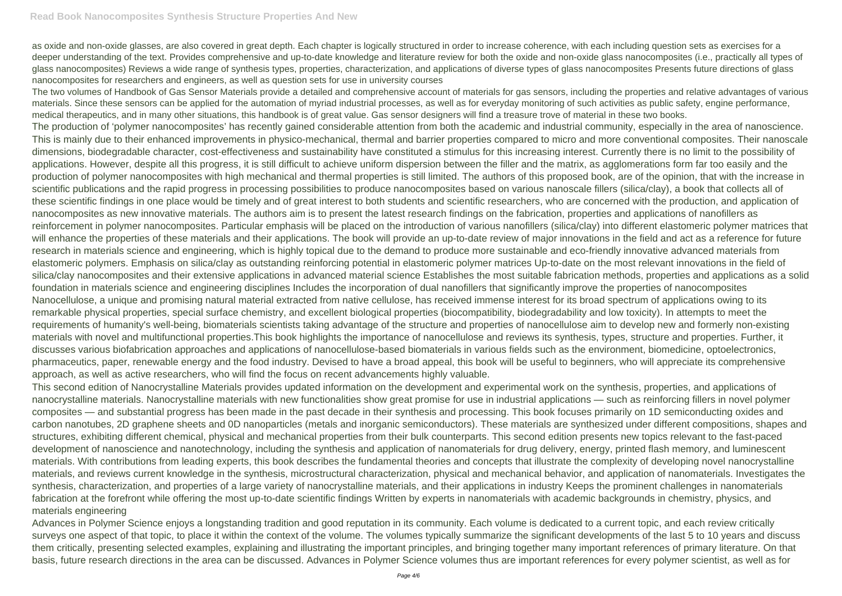as oxide and non-oxide glasses, are also covered in great depth. Each chapter is logically structured in order to increase coherence, with each including question sets as exercises for a deeper understanding of the text. Provides comprehensive and up-to-date knowledge and literature review for both the oxide and non-oxide glass nanocomposites (i.e., practically all types of glass nanocomposites) Reviews a wide range of synthesis types, properties, characterization, and applications of diverse types of glass nanocomposites Presents future directions of glass nanocomposites for researchers and engineers, as well as question sets for use in university courses

The two volumes of Handbook of Gas Sensor Materials provide a detailed and comprehensive account of materials for gas sensors, including the properties and relative advantages of various materials. Since these sensors can be applied for the automation of myriad industrial processes, as well as for everyday monitoring of such activities as public safety, engine performance, medical therapeutics, and in many other situations, this handbook is of great value. Gas sensor designers will find a treasure trove of material in these two books. The production of 'polymer nanocomposites' has recently gained considerable attention from both the academic and industrial community, especially in the area of nanoscience. This is mainly due to their enhanced improvements in physico-mechanical, thermal and barrier properties compared to micro and more conventional composites. Their nanoscale dimensions, biodegradable character, cost-effectiveness and sustainability have constituted a stimulus for this increasing interest. Currently there is no limit to the possibility of applications. However, despite all this progress, it is still difficult to achieve uniform dispersion between the filler and the matrix, as agglomerations form far too easily and the production of polymer nanocomposites with high mechanical and thermal properties is still limited. The authors of this proposed book, are of the opinion, that with the increase in scientific publications and the rapid progress in processing possibilities to produce nanocomposites based on various nanoscale fillers (silica/clay), a book that collects all of these scientific findings in one place would be timely and of great interest to both students and scientific researchers, who are concerned with the production, and application of nanocomposites as new innovative materials. The authors aim is to present the latest research findings on the fabrication, properties and applications of nanofillers as reinforcement in polymer nanocomposites. Particular emphasis will be placed on the introduction of various nanofillers (silica/clay) into different elastomeric polymer matrices that will enhance the properties of these materials and their applications. The book will provide an up-to-date review of major innovations in the field and act as a reference for future research in materials science and engineering, which is highly topical due to the demand to produce more sustainable and eco-friendly innovative advanced materials from elastomeric polymers. Emphasis on silica/clay as outstanding reinforcing potential in elastomeric polymer matrices Up-to-date on the most relevant innovations in the field of silica/clay nanocomposites and their extensive applications in advanced material science Establishes the most suitable fabrication methods, properties and applications as a solid foundation in materials science and engineering disciplines Includes the incorporation of dual nanofillers that significantly improve the properties of nanocomposites Nanocellulose, a unique and promising natural material extracted from native cellulose, has received immense interest for its broad spectrum of applications owing to its remarkable physical properties, special surface chemistry, and excellent biological properties (biocompatibility, biodegradability and low toxicity). In attempts to meet the requirements of humanity's well-being, biomaterials scientists taking advantage of the structure and properties of nanocellulose aim to develop new and formerly non-existing materials with novel and multifunctional properties.This book highlights the importance of nanocellulose and reviews its synthesis, types, structure and properties. Further, it discusses various biofabrication approaches and applications of nanocellulose-based biomaterials in various fields such as the environment, biomedicine, optoelectronics, pharmaceutics, paper, renewable energy and the food industry. Devised to have a broad appeal, this book will be useful to beginners, who will appreciate its comprehensive approach, as well as active researchers, who will find the focus on recent advancements highly valuable.

This second edition of Nanocrystalline Materials provides updated information on the development and experimental work on the synthesis, properties, and applications of nanocrystalline materials. Nanocrystalline materials with new functionalities show great promise for use in industrial applications — such as reinforcing fillers in novel polymer composites — and substantial progress has been made in the past decade in their synthesis and processing. This book focuses primarily on 1D semiconducting oxides and carbon nanotubes, 2D graphene sheets and 0D nanoparticles (metals and inorganic semiconductors). These materials are synthesized under different compositions, shapes and structures, exhibiting different chemical, physical and mechanical properties from their bulk counterparts. This second edition presents new topics relevant to the fast-paced development of nanoscience and nanotechnology, including the synthesis and application of nanomaterials for drug delivery, energy, printed flash memory, and luminescent materials. With contributions from leading experts, this book describes the fundamental theories and concepts that illustrate the complexity of developing novel nanocrystalline materials, and reviews current knowledge in the synthesis, microstructural characterization, physical and mechanical behavior, and application of nanomaterials. Investigates the synthesis, characterization, and properties of a large variety of nanocrystalline materials, and their applications in industry Keeps the prominent challenges in nanomaterials fabrication at the forefront while offering the most up-to-date scientific findings Written by experts in nanomaterials with academic backgrounds in chemistry, physics, and materials engineering

Advances in Polymer Science enjoys a longstanding tradition and good reputation in its community. Each volume is dedicated to a current topic, and each review critically surveys one aspect of that topic, to place it within the context of the volume. The volumes typically summarize the significant developments of the last 5 to 10 years and discuss them critically, presenting selected examples, explaining and illustrating the important principles, and bringing together many important references of primary literature. On that basis, future research directions in the area can be discussed. Advances in Polymer Science volumes thus are important references for every polymer scientist, as well as for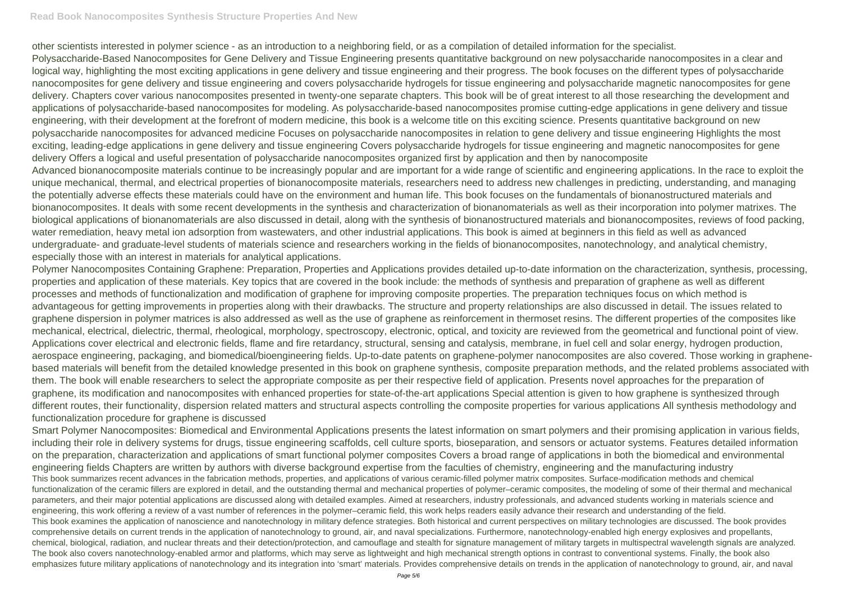## **Read Book Nanocomposites Synthesis Structure Properties And New**

other scientists interested in polymer science - as an introduction to a neighboring field, or as a compilation of detailed information for the specialist. Polysaccharide-Based Nanocomposites for Gene Delivery and Tissue Engineering presents quantitative background on new polysaccharide nanocomposites in a clear and logical way, highlighting the most exciting applications in gene delivery and tissue engineering and their progress. The book focuses on the different types of polysaccharide nanocomposites for gene delivery and tissue engineering and covers polysaccharide hydrogels for tissue engineering and polysaccharide magnetic nanocomposites for gene delivery. Chapters cover various nanocomposites presented in twenty-one separate chapters. This book will be of great interest to all those researching the development and applications of polysaccharide-based nanocomposites for modeling. As polysaccharide-based nanocomposites promise cutting-edge applications in gene delivery and tissue engineering, with their development at the forefront of modern medicine, this book is a welcome title on this exciting science. Presents quantitative background on new polysaccharide nanocomposites for advanced medicine Focuses on polysaccharide nanocomposites in relation to gene delivery and tissue engineering Highlights the most exciting, leading-edge applications in gene delivery and tissue engineering Covers polysaccharide hydrogels for tissue engineering and magnetic nanocomposites for gene delivery Offers a logical and useful presentation of polysaccharide nanocomposites organized first by application and then by nanocomposite Advanced bionanocomposite materials continue to be increasingly popular and are important for a wide range of scientific and engineering applications. In the race to exploit the unique mechanical, thermal, and electrical properties of bionanocomposite materials, researchers need to address new challenges in predicting, understanding, and managing the potentially adverse effects these materials could have on the environment and human life. This book focuses on the fundamentals of bionanostructured materials and bionanocomposites. It deals with some recent developments in the synthesis and characterization of bionanomaterials as well as their incorporation into polymer matrixes. The biological applications of bionanomaterials are also discussed in detail, along with the synthesis of bionanostructured materials and bionanocomposites, reviews of food packing, water remediation, heavy metal ion adsorption from wastewaters, and other industrial applications. This book is aimed at beginners in this field as well as advanced undergraduate- and graduate-level students of materials science and researchers working in the fields of bionanocomposites, nanotechnology, and analytical chemistry, especially those with an interest in materials for analytical applications.

Polymer Nanocomposites Containing Graphene: Preparation, Properties and Applications provides detailed up-to-date information on the characterization, synthesis, processing, properties and application of these materials. Key topics that are covered in the book include: the methods of synthesis and preparation of graphene as well as different processes and methods of functionalization and modification of graphene for improving composite properties. The preparation techniques focus on which method is advantageous for getting improvements in properties along with their drawbacks. The structure and property relationships are also discussed in detail. The issues related to graphene dispersion in polymer matrices is also addressed as well as the use of graphene as reinforcement in thermoset resins. The different properties of the composites like mechanical, electrical, dielectric, thermal, rheological, morphology, spectroscopy, electronic, optical, and toxicity are reviewed from the geometrical and functional point of view. Applications cover electrical and electronic fields, flame and fire retardancy, structural, sensing and catalysis, membrane, in fuel cell and solar energy, hydrogen production, aerospace engineering, packaging, and biomedical/bioengineering fields. Up-to-date patents on graphene-polymer nanocomposites are also covered. Those working in graphenebased materials will benefit from the detailed knowledge presented in this book on graphene synthesis, composite preparation methods, and the related problems associated with them. The book will enable researchers to select the appropriate composite as per their respective field of application. Presents novel approaches for the preparation of graphene, its modification and nanocomposites with enhanced properties for state-of-the-art applications Special attention is given to how graphene is synthesized through different routes, their functionality, dispersion related matters and structural aspects controlling the composite properties for various applications All synthesis methodology and functionalization procedure for graphene is discussed

Smart Polymer Nanocomposites: Biomedical and Environmental Applications presents the latest information on smart polymers and their promising application in various fields, including their role in delivery systems for drugs, tissue engineering scaffolds, cell culture sports, bioseparation, and sensors or actuator systems. Features detailed information on the preparation, characterization and applications of smart functional polymer composites Covers a broad range of applications in both the biomedical and environmental engineering fields Chapters are written by authors with diverse background expertise from the faculties of chemistry, engineering and the manufacturing industry This book summarizes recent advances in the fabrication methods, properties, and applications of various ceramic-filled polymer matrix composites. Surface-modification methods and chemical functionalization of the ceramic fillers are explored in detail, and the outstanding thermal and mechanical properties of polymer–ceramic composites, the modeling of some of their thermal and mechanical parameters, and their major potential applications are discussed along with detailed examples. Aimed at researchers, industry professionals, and advanced students working in materials science and engineering, this work offering a review of a vast number of references in the polymer–ceramic field, this work helps readers easily advance their research and understanding of the field. This book examines the application of nanoscience and nanotechnology in military defence strategies. Both historical and current perspectives on military technologies are discussed. The book provides comprehensive details on current trends in the application of nanotechnology to ground, air, and naval specializations. Furthermore, nanotechnology-enabled high energy explosives and propellants, chemical, biological, radiation, and nuclear threats and their detection/protection, and camouflage and stealth for signature management of military targets in multispectral wavelength signals are analyzed. The book also covers nanotechnology-enabled armor and platforms, which may serve as lightweight and high mechanical strength options in contrast to conventional systems. Finally, the book also emphasizes future military applications of nanotechnology and its integration into 'smart' materials. Provides comprehensive details on trends in the application of nanotechnology to ground, air, and naval